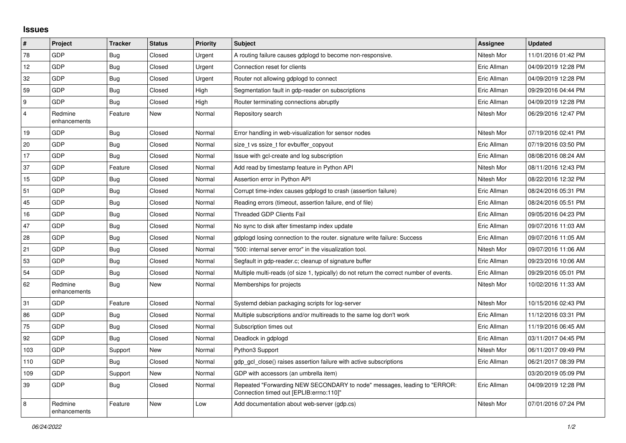## **Issues**

| $\#$           | Project                 | <b>Tracker</b> | <b>Status</b> | <b>Priority</b> | <b>Subject</b>                                                                                                      | Assignee    | <b>Updated</b>      |
|----------------|-------------------------|----------------|---------------|-----------------|---------------------------------------------------------------------------------------------------------------------|-------------|---------------------|
| 78             | GDP                     | <b>Bug</b>     | Closed        | Urgent          | A routing failure causes gdplogd to become non-responsive.                                                          | Nitesh Mor  | 11/01/2016 01:42 PM |
| 12             | GDP                     | <b>Bug</b>     | Closed        | Urgent          | Connection reset for clients                                                                                        | Eric Allman | 04/09/2019 12:28 PM |
| 32             | GDP                     | <b>Bug</b>     | Closed        | Urgent          | Router not allowing gdplogd to connect                                                                              | Eric Allman | 04/09/2019 12:28 PM |
| 59             | GDP                     | <b>Bug</b>     | Closed        | High            | Segmentation fault in gdp-reader on subscriptions                                                                   | Eric Allman | 09/29/2016 04:44 PM |
| 9              | <b>GDP</b>              | Bug            | Closed        | High            | Router terminating connections abruptly                                                                             | Eric Allman | 04/09/2019 12:28 PM |
| $\overline{4}$ | Redmine<br>enhancements | Feature        | New           | Normal          | Repository search                                                                                                   | Nitesh Mor  | 06/29/2016 12:47 PM |
| 19             | GDP                     | Bug            | Closed        | Normal          | Error handling in web-visualization for sensor nodes                                                                | Nitesh Mor  | 07/19/2016 02:41 PM |
| 20             | GDP                     | Bug            | Closed        | Normal          | size t vs ssize t for evbuffer copyout                                                                              | Eric Allman | 07/19/2016 03:50 PM |
| 17             | GDP                     | <b>Bug</b>     | Closed        | Normal          | Issue with gcl-create and log subscription                                                                          | Eric Allman | 08/08/2016 08:24 AM |
| 37             | GDP                     | Feature        | Closed        | Normal          | Add read by timestamp feature in Python API                                                                         | Nitesh Mor  | 08/11/2016 12:43 PM |
| 15             | GDP                     | <b>Bug</b>     | Closed        | Normal          | Assertion error in Python API                                                                                       | Nitesh Mor  | 08/22/2016 12:32 PM |
| 51             | GDP                     | <b>Bug</b>     | Closed        | Normal          | Corrupt time-index causes gdplogd to crash (assertion failure)                                                      | Eric Allman | 08/24/2016 05:31 PM |
| 45             | GDP                     | <b>Bug</b>     | Closed        | Normal          | Reading errors (timeout, assertion failure, end of file)                                                            | Eric Allman | 08/24/2016 05:51 PM |
| 16             | GDP                     | <b>Bug</b>     | Closed        | Normal          | <b>Threaded GDP Clients Fail</b>                                                                                    | Eric Allman | 09/05/2016 04:23 PM |
| 47             | <b>GDP</b>              | Bug            | Closed        | Normal          | No sync to disk after timestamp index update                                                                        | Eric Allman | 09/07/2016 11:03 AM |
| 28             | GDP                     | <b>Bug</b>     | Closed        | Normal          | gdplogd losing connection to the router, signature write failure: Success                                           | Eric Allman | 09/07/2016 11:05 AM |
| 21             | GDP                     | <b>Bug</b>     | Closed        | Normal          | "500: internal server error" in the visualization tool.                                                             | Nitesh Mor  | 09/07/2016 11:06 AM |
| 53             | <b>GDP</b>              | <b>Bug</b>     | Closed        | Normal          | Segfault in gdp-reader.c; cleanup of signature buffer                                                               | Eric Allman | 09/23/2016 10:06 AM |
| 54             | GDP                     | <b>Bug</b>     | Closed        | Normal          | Multiple multi-reads (of size 1, typically) do not return the correct number of events.                             | Eric Allman | 09/29/2016 05:01 PM |
| 62             | Redmine<br>enhancements | <b>Bug</b>     | <b>New</b>    | Normal          | Memberships for projects                                                                                            | Nitesh Mor  | 10/02/2016 11:33 AM |
| 31             | GDP                     | Feature        | Closed        | Normal          | Systemd debian packaging scripts for log-server                                                                     | Nitesh Mor  | 10/15/2016 02:43 PM |
| 86             | GDP                     | <b>Bug</b>     | Closed        | Normal          | Multiple subscriptions and/or multireads to the same log don't work                                                 | Eric Allman | 11/12/2016 03:31 PM |
| 75             | <b>GDP</b>              | <b>Bug</b>     | Closed        | Normal          | Subscription times out                                                                                              | Eric Allman | 11/19/2016 06:45 AM |
| 92             | GDP                     | Bug            | Closed        | Normal          | Deadlock in gdplogd                                                                                                 | Eric Allman | 03/11/2017 04:45 PM |
| 103            | GDP                     | Support        | New           | Normal          | Python3 Support                                                                                                     | Nitesh Mor  | 06/11/2017 09:49 PM |
| 110            | GDP                     | Bug            | Closed        | Normal          | gdp gcl close() raises assertion failure with active subscriptions                                                  | Eric Allman | 06/21/2017 08:39 PM |
| 109            | GDP                     | Support        | New           | Normal          | GDP with accessors (an umbrella item)                                                                               |             | 03/20/2019 05:09 PM |
| 39             | <b>GDP</b>              | <b>Bug</b>     | Closed        | Normal          | Repeated "Forwarding NEW SECONDARY to node" messages, leading to "ERROR:<br>Connection timed out [EPLIB:errno:110]" | Eric Allman | 04/09/2019 12:28 PM |
| 8              | Redmine<br>enhancements | Feature        | New           | Low             | Add documentation about web-server (gdp.cs)                                                                         | Nitesh Mor  | 07/01/2016 07:24 PM |